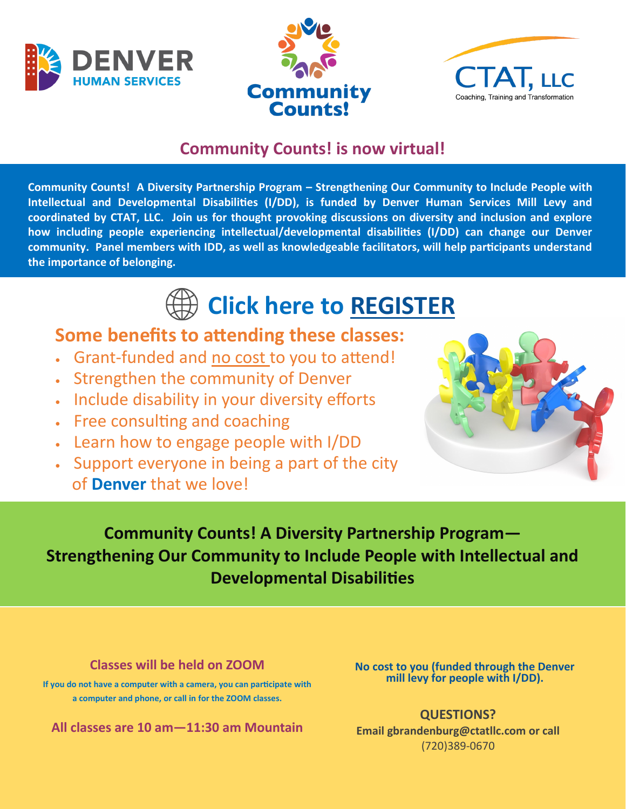





### **Community Counts! is now virtual!**

**Community Counts! A Diversity Partnership Program – Strengthening Our Community to Include People with Intellectual and Developmental Disabilities (I/DD), is funded by Denver Human Services Mill Levy and coordinated by CTAT, LLC. Join us for thought provoking discussions on diversity and inclusion and explore how including people experiencing intellectual/developmental disabilities (I/DD) can change our Denver community. Panel members with IDD, as well as knowledgeable facilitators, will help participants understand the importance of belonging.** 

# **Click here to [REGISTER](https://ctatllc.com/disability-programs/community-counts/)**

## **Some benefits to attending these classes:**

- Grant-funded and no cost to you to attend!
- Strengthen the community of Denver
- Include disability in your diversity efforts
- Free consulting and coaching
- Learn how to engage people with I/DD
- Support everyone in being a part of the city of **Denver** that we love!



## **Community Counts! A Diversity Partnership Program— Strengthening Our Community to Include People with Intellectual and Developmental Disabilities**

**Classes will be held on ZOOM** 

**If you do not have a computer with a camera, you can participate with a computer and phone, or call in for the ZOOM classes.**

**All classes are 10 am—11:30 am Mountain**

**No cost to you (funded through the Denver mill levy for people with I/DD).** 

**QUESTIONS? Email gbrandenburg@ctatllc.com or call**  (720)389-0670